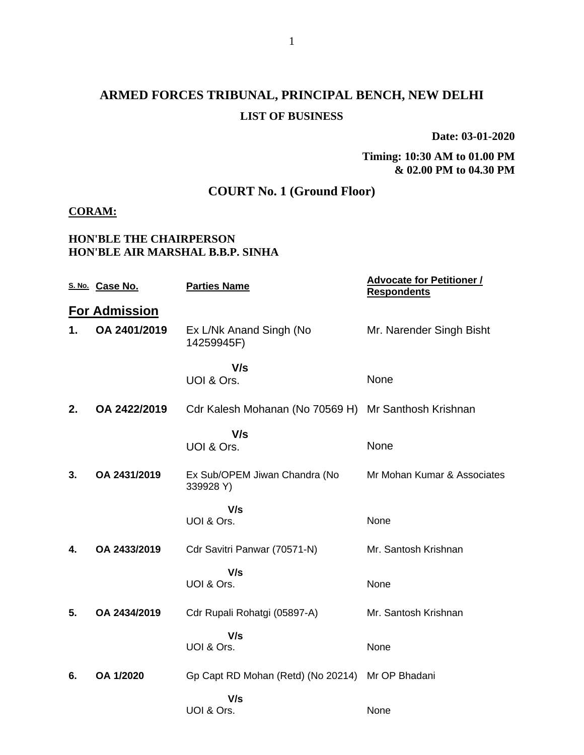# **ARMED FORCES TRIBUNAL, PRINCIPAL BENCH, NEW DELHI LIST OF BUSINESS**

**Date: 03-01-2020**

#### **Timing: 10:30 AM to 01.00 PM & 02.00 PM to 04.30 PM**

# **COURT No. 1 (Ground Floor)**

## **CORAM:**

### **HON'BLE THE CHAIRPERSON HON'BLE AIR MARSHAL B.B.P. SINHA**

|    | S. No. Case No.      | <b>Parties Name</b>                                  | <b>Advocate for Petitioner /</b><br><b>Respondents</b> |
|----|----------------------|------------------------------------------------------|--------------------------------------------------------|
|    | <b>For Admission</b> |                                                      |                                                        |
| 1. | OA 2401/2019         | Ex L/Nk Anand Singh (No<br>14259945F)                | Mr. Narender Singh Bisht                               |
|    |                      | V/s<br>UOI & Ors.                                    | None                                                   |
| 2. | OA 2422/2019         | Cdr Kalesh Mohanan (No 70569 H) Mr Santhosh Krishnan |                                                        |
|    |                      | V/s<br>UOI & Ors.                                    | None                                                   |
| 3. | OA 2431/2019         | Ex Sub/OPEM Jiwan Chandra (No<br>339928 Y)           | Mr Mohan Kumar & Associates                            |
|    |                      | V/s<br>UOI & Ors.                                    | None                                                   |
| 4. | OA 2433/2019         | Cdr Savitri Panwar (70571-N)                         | Mr. Santosh Krishnan                                   |
|    |                      | V/s<br>UOI & Ors.                                    | None                                                   |
| 5. | OA 2434/2019         | Cdr Rupali Rohatgi (05897-A)                         | Mr. Santosh Krishnan                                   |
|    |                      | V/s<br>UOI & Ors.                                    | None                                                   |
| 6. | OA 1/2020            | Gp Capt RD Mohan (Retd) (No 20214) Mr OP Bhadani     |                                                        |
|    |                      | V/s<br>UOI & Ors.                                    | None                                                   |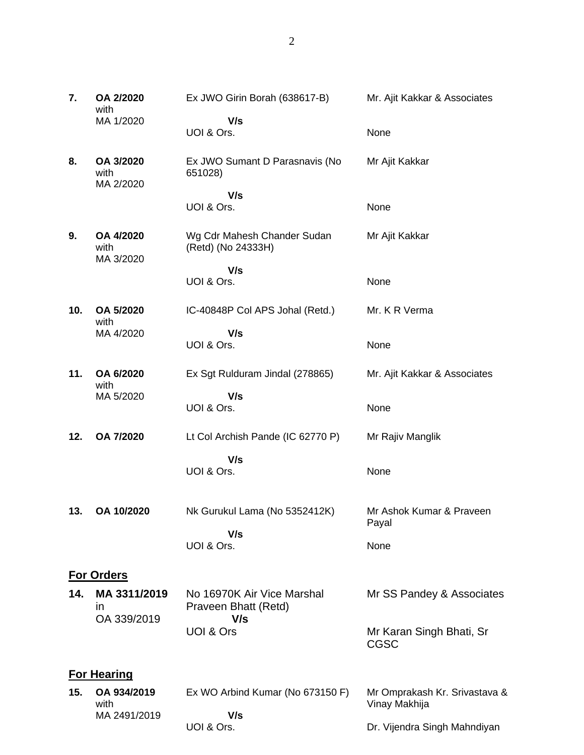| 7.  | OA 2/2020<br>with                 | Ex JWO Girin Borah (638617-B)                             | Mr. Ajit Kakkar & Associates                   |
|-----|-----------------------------------|-----------------------------------------------------------|------------------------------------------------|
|     | MA 1/2020                         | V/s<br>UOI & Ors.                                         | None                                           |
| 8.  | OA 3/2020<br>with<br>MA 2/2020    | Ex JWO Sumant D Parasnavis (No<br>651028)                 | Mr Ajit Kakkar                                 |
|     |                                   | V/s<br>UOI & Ors.                                         | None                                           |
| 9.  | OA 4/2020<br>with<br>MA 3/2020    | Wg Cdr Mahesh Chander Sudan<br>(Retd) (No 24333H)         | Mr Ajit Kakkar                                 |
|     |                                   | V/s<br>UOI & Ors.                                         | None                                           |
| 10. | OA 5/2020<br>with                 | IC-40848P Col APS Johal (Retd.)                           | Mr. K R Verma                                  |
|     | MA 4/2020                         | V/s<br>UOI & Ors.                                         | None                                           |
| 11. | OA 6/2020<br>with                 | Ex Sgt Rulduram Jindal (278865)                           | Mr. Ajit Kakkar & Associates                   |
|     | MA 5/2020                         | V/s<br>UOI & Ors.                                         | None                                           |
| 12. | OA 7/2020                         | Lt Col Archish Pande (IC 62770 P)                         | Mr Rajiv Manglik                               |
|     |                                   | V/s<br>UOI & Ors.                                         | None                                           |
| 13. | OA 10/2020                        | Nk Gurukul Lama (No 5352412K)                             | Mr Ashok Kumar & Praveen<br>Payal              |
|     |                                   | V/s<br>UOI & Ors.                                         | None                                           |
|     | <b>For Orders</b>                 |                                                           |                                                |
| 14. | MA 3311/2019<br>in<br>OA 339/2019 | No 16970K Air Vice Marshal<br>Praveen Bhatt (Retd)<br>V/s | Mr SS Pandey & Associates                      |
|     |                                   | UOI & Ors                                                 | Mr Karan Singh Bhati, Sr<br><b>CGSC</b>        |
|     | <b>For Hearing</b>                |                                                           |                                                |
| 15. | OA 934/2019<br>with               | Ex WO Arbind Kumar (No 673150 F)                          | Mr Omprakash Kr. Srivastava &<br>Vinay Makhija |

MA 2491/2019

 **V/s**

Dr. Vijendra Singh Mahndiyan

UOI & Ors.

2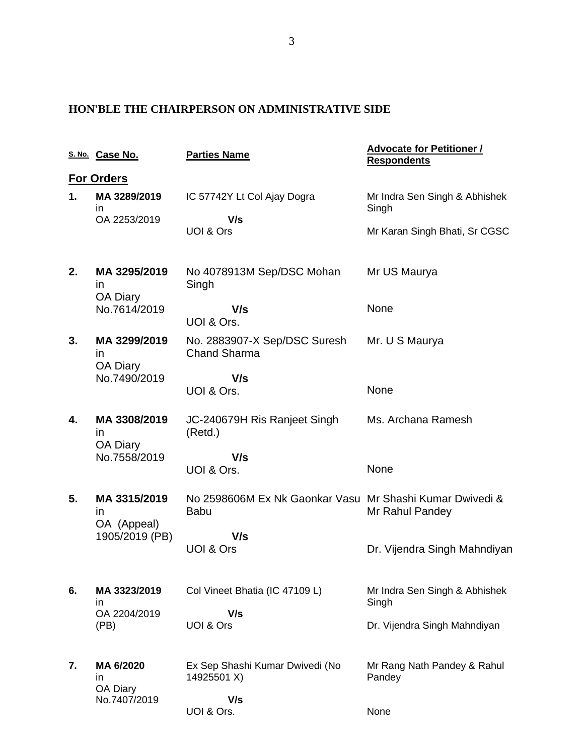## **HON'BLE THE CHAIRPERSON ON ADMINISTRATIVE SIDE**

|    | S. No. Case No.                                  | <b>Parties Name</b>                                                     | <b>Advocate for Petitioner /</b><br><b>Respondents</b> |
|----|--------------------------------------------------|-------------------------------------------------------------------------|--------------------------------------------------------|
|    | <b>For Orders</b>                                |                                                                         |                                                        |
| 1. | MA 3289/2019<br>in.                              | IC 57742Y Lt Col Ajay Dogra                                             | Mr Indra Sen Singh & Abhishek<br>Singh                 |
|    | OA 2253/2019                                     | V/s<br><b>UOI &amp; Ors</b>                                             | Mr Karan Singh Bhati, Sr CGSC                          |
| 2. | MA 3295/2019<br>$\mathsf{In}$<br><b>OA Diary</b> | No 4078913M Sep/DSC Mohan<br>Singh                                      | Mr US Maurya                                           |
|    | No.7614/2019                                     | V/s<br>UOI & Ors.                                                       | None                                                   |
| 3. | MA 3299/2019<br><i>in</i>                        | No. 2883907-X Sep/DSC Suresh<br><b>Chand Sharma</b>                     | Mr. U S Maurya                                         |
|    | <b>OA Diary</b><br>No.7490/2019                  | V/s<br>UOI & Ors.                                                       | None                                                   |
| 4. | MA 3308/2019<br><i>in</i>                        | JC-240679H Ris Ranjeet Singh<br>(Retd.)                                 | Ms. Archana Ramesh                                     |
|    | <b>OA Diary</b><br>No.7558/2019                  | V/s<br>UOI & Ors.                                                       | None                                                   |
| 5. | MA 3315/2019<br>$\mathsf{I}$                     | No 2598606M Ex Nk Gaonkar Vasu Mr Shashi Kumar Dwivedi &<br><b>Babu</b> | Mr Rahul Pandey                                        |
|    | OA (Appeal)<br>1905/2019 (PB)                    | V/s<br><b>UOI &amp; Ors</b>                                             | Dr. Vijendra Singh Mahndiyan                           |
| 6. | MA 3323/2019<br>in.<br>OA 2204/2019<br>(PB)      | Col Vineet Bhatia (IC 47109 L)                                          | Mr Indra Sen Singh & Abhishek<br>Singh                 |
|    |                                                  | V/s<br>UOI & Ors                                                        | Dr. Vijendra Singh Mahndiyan                           |
| 7. | MA 6/2020<br>in.<br>OA Diary                     | Ex Sep Shashi Kumar Dwivedi (No<br>14925501 X)                          | Mr Rang Nath Pandey & Rahul<br>Pandey                  |
|    | No.7407/2019                                     | V/s<br>UOI & Ors.                                                       | None                                                   |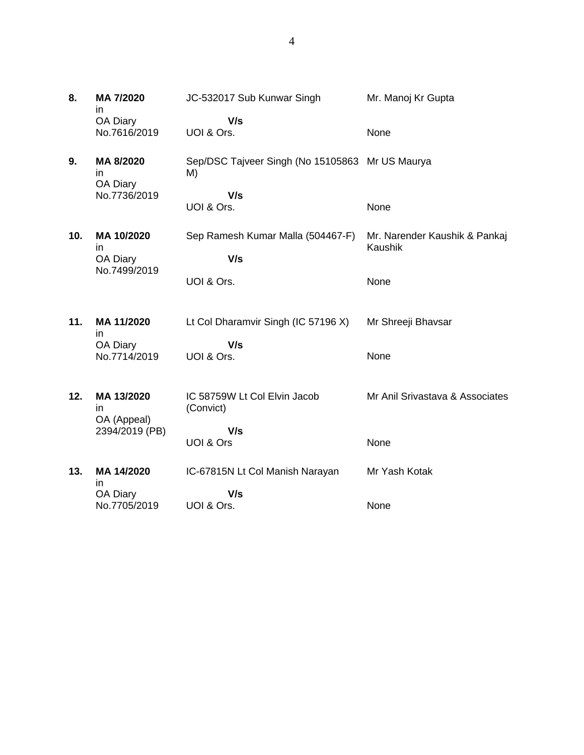| 8.  | MA 7/2020<br>in                 | JC-532017 Sub Kunwar Singh                            | Mr. Manoj Kr Gupta                       |
|-----|---------------------------------|-------------------------------------------------------|------------------------------------------|
|     | OA Diary<br>No.7616/2019        | V/s<br>UOI & Ors.                                     | None                                     |
| 9.  | MA 8/2020<br>in                 | Sep/DSC Tajveer Singh (No 15105863 Mr US Maurya<br>M) |                                          |
|     | OA Diary<br>No.7736/2019        | V/s<br>UOI & Ors.                                     | None                                     |
| 10. | MA 10/2020<br>in<br>OA Diary    | Sep Ramesh Kumar Malla (504467-F)<br>V/s              | Mr. Narender Kaushik & Pankaj<br>Kaushik |
|     | No.7499/2019                    | UOI & Ors.                                            | None                                     |
| 11. | MA 11/2020<br>in                | Lt Col Dharamvir Singh (IC 57196 X)                   | Mr Shreeji Bhavsar                       |
|     | OA Diary<br>No.7714/2019        | V/s<br>UOI & Ors.                                     | None                                     |
| 12. | MA 13/2020<br>in<br>OA (Appeal) | IC 58759W Lt Col Elvin Jacob<br>(Convict)             | Mr Anil Srivastava & Associates          |
|     | 2394/2019 (PB)                  | V/s<br>UOI & Ors                                      | None                                     |
| 13. | MA 14/2020<br>in                | IC-67815N Lt Col Manish Narayan                       | Mr Yash Kotak                            |
|     | OA Diary<br>No.7705/2019        | V/s<br>UOI & Ors.                                     | None                                     |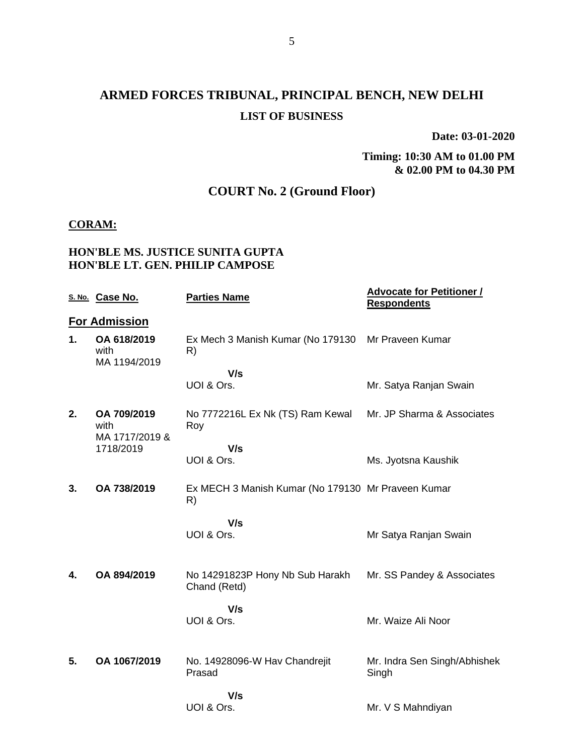# **ARMED FORCES TRIBUNAL, PRINCIPAL BENCH, NEW DELHI LIST OF BUSINESS**

**Date: 03-01-2020**

#### **Timing: 10:30 AM to 01.00 PM & 02.00 PM to 04.30 PM**

# **COURT No. 2 (Ground Floor)**

#### **CORAM:**

## **HON'BLE MS. JUSTICE SUNITA GUPTA HON'BLE LT. GEN. PHILIP CAMPOSE**

|    | S. No. Case No.                       | <b>Parties Name</b>                                      | <b>Advocate for Petitioner /</b><br><b>Respondents</b> |
|----|---------------------------------------|----------------------------------------------------------|--------------------------------------------------------|
|    | <b>For Admission</b>                  |                                                          |                                                        |
| 1. | OA 618/2019<br>with<br>MA 1194/2019   | Ex Mech 3 Manish Kumar (No 179130 Mr Praveen Kumar<br>R) |                                                        |
|    |                                       | V/s                                                      |                                                        |
|    |                                       | UOI & Ors.                                               | Mr. Satya Ranjan Swain                                 |
| 2. | OA 709/2019<br>with<br>MA 1717/2019 & | No 7772216L Ex Nk (TS) Ram Kewal<br>Roy                  | Mr. JP Sharma & Associates                             |
|    | 1718/2019                             | V/s                                                      |                                                        |
|    |                                       | UOI & Ors.                                               | Ms. Jyotsna Kaushik                                    |
| 3. | OA 738/2019                           | Ex MECH 3 Manish Kumar (No 179130 Mr Praveen Kumar<br>R) |                                                        |
|    |                                       | V/s                                                      |                                                        |
|    |                                       | UOI & Ors.                                               | Mr Satya Ranjan Swain                                  |
|    |                                       |                                                          |                                                        |
| 4. | OA 894/2019                           | No 14291823P Hony Nb Sub Harakh<br>Chand (Retd)          | Mr. SS Pandey & Associates                             |
|    |                                       | V/s                                                      |                                                        |
|    |                                       | UOI & Ors.                                               | Mr. Waize Ali Noor                                     |
|    |                                       |                                                          |                                                        |
| 5. | OA 1067/2019                          | No. 14928096-W Hav Chandrejit<br>Prasad                  | Mr. Indra Sen Singh/Abhishek<br>Singh                  |
|    |                                       | V/s                                                      |                                                        |
|    |                                       | UOI & Ors.                                               | Mr. V S Mahndiyan                                      |
|    |                                       |                                                          |                                                        |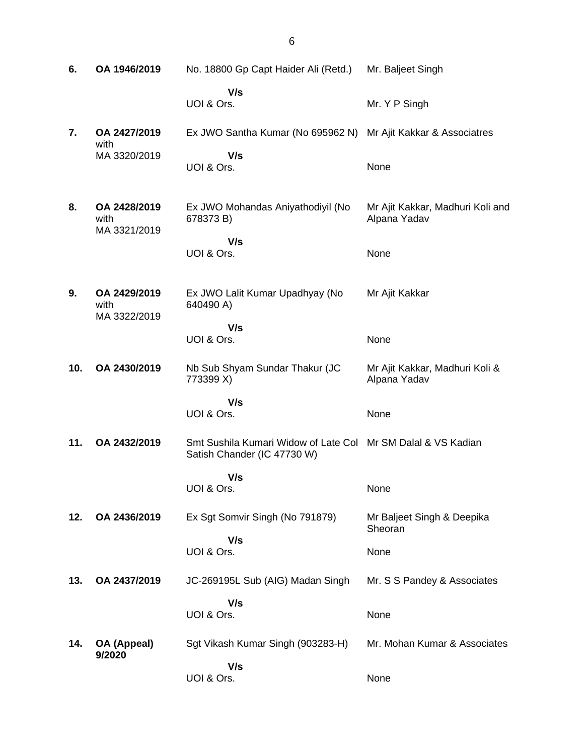| 6.  | OA 1946/2019                         | No. 18800 Gp Capt Haider Ali (Retd.)                                                        | Mr. Baljeet Singh                                |
|-----|--------------------------------------|---------------------------------------------------------------------------------------------|--------------------------------------------------|
|     |                                      | V/s<br>UOI & Ors.                                                                           | Mr. Y P Singh                                    |
| 7.  | OA 2427/2019<br>with                 | Ex JWO Santha Kumar (No 695962 N)                                                           | Mr Ajit Kakkar & Associatres                     |
|     | MA 3320/2019                         | V/s<br>UOI & Ors.                                                                           | None                                             |
| 8.  | OA 2428/2019<br>with<br>MA 3321/2019 | Ex JWO Mohandas Aniyathodiyil (No<br>678373 B)                                              | Mr Ajit Kakkar, Madhuri Koli and<br>Alpana Yadav |
|     |                                      | V/s<br>UOI & Ors.                                                                           | None                                             |
| 9.  | OA 2429/2019<br>with<br>MA 3322/2019 | Ex JWO Lalit Kumar Upadhyay (No<br>640490 A)                                                | Mr Ajit Kakkar                                   |
|     |                                      | V/s<br>UOI & Ors.                                                                           | None                                             |
| 10. | OA 2430/2019                         | Nb Sub Shyam Sundar Thakur (JC<br>773399 X)                                                 | Mr Ajit Kakkar, Madhuri Koli &<br>Alpana Yadav   |
|     |                                      | V/s<br>UOI & Ors.                                                                           | None                                             |
| 11. | OA 2432/2019                         | Smt Sushila Kumari Widow of Late Col Mr SM Dalal & VS Kadian<br>Satish Chander (IC 47730 W) |                                                  |
|     |                                      | V/s<br>UOI & Ors.                                                                           | None                                             |
| 12. | OA 2436/2019                         | Ex Sgt Somvir Singh (No 791879)                                                             | Mr Baljeet Singh & Deepika<br>Sheoran            |
|     |                                      | V/s<br>UOI & Ors.                                                                           | None                                             |
| 13. | OA 2437/2019                         | JC-269195L Sub (AIG) Madan Singh                                                            | Mr. S S Pandey & Associates                      |
|     |                                      | V/s<br>UOI & Ors.                                                                           | None                                             |
| 14. | OA (Appeal)<br>9/2020                | Sgt Vikash Kumar Singh (903283-H)                                                           | Mr. Mohan Kumar & Associates                     |
|     |                                      | V/s<br>UOI & Ors.                                                                           | None                                             |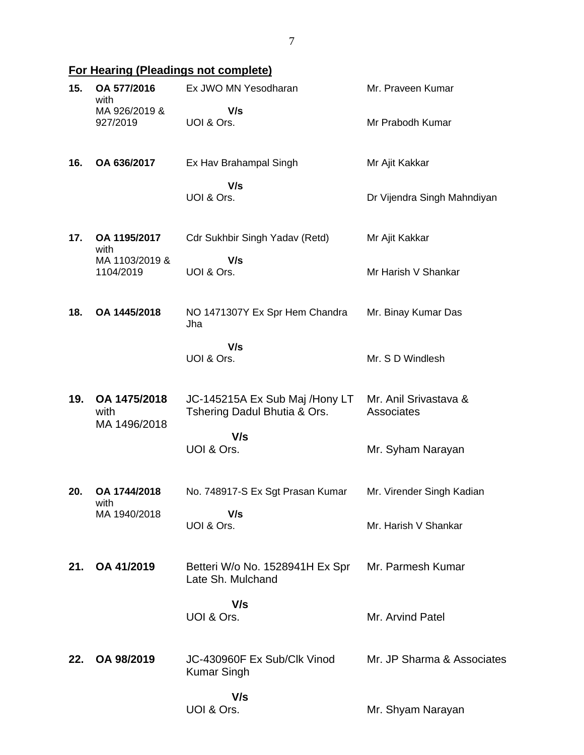# **For Hearing (Pleadings not complete)**

| 15. | OA 577/2016<br>with                  | Ex JWO MN Yesodharan                                           | Mr. Praveen Kumar                   |
|-----|--------------------------------------|----------------------------------------------------------------|-------------------------------------|
|     | MA 926/2019 &<br>927/2019            | V/s<br>UOI & Ors.                                              | Mr Prabodh Kumar                    |
| 16. | OA 636/2017                          | Ex Hav Brahampal Singh                                         | Mr Ajit Kakkar                      |
|     |                                      | V/s<br>UOI & Ors.                                              | Dr Vijendra Singh Mahndiyan         |
| 17. | OA 1195/2017<br>with                 | Cdr Sukhbir Singh Yadav (Retd)                                 | Mr Ajit Kakkar                      |
|     | MA 1103/2019 &<br>1104/2019          | V/s<br>UOI & Ors.                                              | Mr Harish V Shankar                 |
| 18. | OA 1445/2018                         | NO 1471307Y Ex Spr Hem Chandra<br>Jha                          | Mr. Binay Kumar Das                 |
|     |                                      | V/s<br>UOI & Ors.                                              | Mr. S D Windlesh                    |
| 19. | OA 1475/2018<br>with<br>MA 1496/2018 | JC-145215A Ex Sub Maj /Hony LT<br>Tshering Dadul Bhutia & Ors. | Mr. Anil Srivastava &<br>Associates |
|     |                                      | V/s<br>UOI & Ors.                                              | Mr. Syham Narayan                   |
| 20. | OA 1744/2018<br>with                 | No. 748917-S Ex Sgt Prasan Kumar                               | Mr. Virender Singh Kadian           |
|     | MA 1940/2018                         | V/s<br>UOI & Ors.                                              | Mr. Harish V Shankar                |
| 21. | OA 41/2019                           | Betteri W/o No. 1528941H Ex Spr<br>Late Sh. Mulchand           | Mr. Parmesh Kumar                   |
|     |                                      | V/s<br>UOI & Ors.                                              | Mr. Arvind Patel                    |
| 22. | OA 98/2019                           | JC-430960F Ex Sub/Clk Vinod<br><b>Kumar Singh</b>              | Mr. JP Sharma & Associates          |
|     |                                      | V/s<br>UOI & Ors.                                              | Mr. Shyam Narayan                   |

7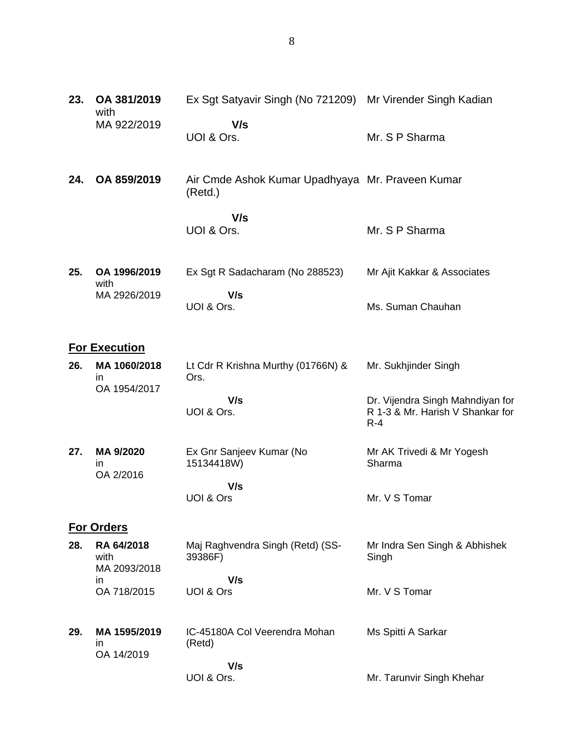| 23. | OA 381/2019<br>with                        | Ex Sgt Satyavir Singh (No 721209) Mr Virender Singh Kadian  |                                                                               |
|-----|--------------------------------------------|-------------------------------------------------------------|-------------------------------------------------------------------------------|
|     | MA 922/2019                                | V/s<br>UOI & Ors.                                           | Mr. S P Sharma                                                                |
| 24. | OA 859/2019                                | Air Cmde Ashok Kumar Upadhyaya Mr. Praveen Kumar<br>(Retd.) |                                                                               |
|     |                                            | V/s<br>UOI & Ors.                                           | Mr. S P Sharma                                                                |
| 25. | OA 1996/2019<br>with                       | Ex Sgt R Sadacharam (No 288523)                             | Mr Ajit Kakkar & Associates                                                   |
|     | MA 2926/2019                               | V/s<br>UOI & Ors.                                           | Ms. Suman Chauhan                                                             |
|     | <b>For Execution</b>                       |                                                             |                                                                               |
| 26. | MA 1060/2018<br>in<br>OA 1954/2017         | Lt Cdr R Krishna Murthy (01766N) &<br>Ors.                  | Mr. Sukhjinder Singh                                                          |
|     |                                            | V/s<br>UOI & Ors.                                           | Dr. Vijendra Singh Mahndiyan for<br>R 1-3 & Mr. Harish V Shankar for<br>$R-4$ |
| 27. | MA 9/2020<br>in.<br>OA 2/2016              | Ex Gnr Sanjeev Kumar (No<br>15134418W)                      | Mr AK Trivedi & Mr Yogesh<br>Sharma                                           |
|     |                                            | V/s<br>UOI & Ors                                            | Mr. V S Tomar                                                                 |
|     | <b>For Orders</b>                          |                                                             |                                                                               |
| 28. | RA 64/2018<br>with<br>MA 2093/2018         | Maj Raghvendra Singh (Retd) (SS-<br>39386F)                 | Mr Indra Sen Singh & Abhishek<br>Singh                                        |
|     | in<br>OA 718/2015                          | V/s<br>UOI & Ors                                            | Mr. V S Tomar                                                                 |
| 29. | MA 1595/2019<br>$\mathsf{I}$<br>OA 14/2019 | IC-45180A Col Veerendra Mohan<br>(Retd)                     | Ms Spitti A Sarkar                                                            |
|     |                                            | V/s<br>UOI & Ors.                                           | Mr. Tarunvir Singh Khehar                                                     |